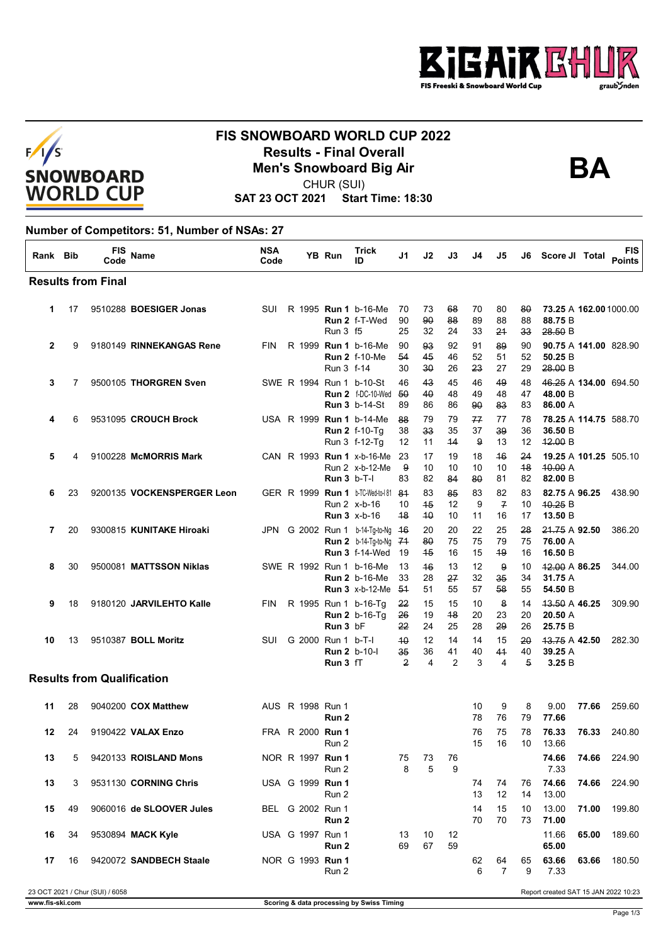



## **FIS SNOWBOARD WORLD CUP 2022 Results - Final Overall<br>Men's Snowboard Big Air**<br>CHUP (SUI)



CHUR (SUI)

**SAT 23 OCT 2021 Start Time: 18:30**

## **Number of Competitors: 51, Number of NSAs: 27**

| Rank Bib       |    | FIS<br>Code                       | Name                       | <b>NSA</b><br>Code |  | YB Run                                                | Trick<br>ID                                                                          | J1                         | J2             | J3                         | J4             | J5                         | J6                         | Score JI Total                              |       | <b>FIS</b><br><b>Points</b> |
|----------------|----|-----------------------------------|----------------------------|--------------------|--|-------------------------------------------------------|--------------------------------------------------------------------------------------|----------------------------|----------------|----------------------------|----------------|----------------------------|----------------------------|---------------------------------------------|-------|-----------------------------|
|                |    | <b>Results from Final</b>         |                            |                    |  |                                                       |                                                                                      |                            |                |                            |                |                            |                            |                                             |       |                             |
| 1.             | 17 |                                   | 9510288 BOESIGER Jonas     | <b>SUI</b>         |  | <b>Run 3 f5</b>                                       | R 1995 Run 1 b-16-Me<br>Run 2 f-T-Wed                                                | 70<br>90<br>25             | 73<br>90<br>32 | 68<br>88<br>24             | 70<br>89<br>33 | 80<br>88<br>21             | 80<br>88<br>33             | 73.25 A 162.00 1000.00<br>88.75 B<br>28.50B |       |                             |
| $\overline{2}$ | 9  |                                   | 9180149 RINNEKANGAS Rene   | <b>FIN</b>         |  | Run 3 f-14                                            | R 1999 Run 1 b-16-Me<br><b>Run 2 f-10-Me</b>                                         | 90<br>54<br>30             | 93<br>45<br>30 | 92<br>46<br>26             | 91<br>52<br>23 | 89<br>51<br>27             | 90<br>52<br>29             | 90.75 A 141.00 828.90<br>50.25 B<br>28.00 B |       |                             |
| 3              | 7  |                                   | 9500105 THORGREN Sven      |                    |  |                                                       | SWE R 1994 Run 1 b-10-St<br><b>Run 2</b> f-DC-10-Wed 50<br><b>Run 3</b> b-14-St      | 46<br>89                   | 43<br>40<br>86 | 45<br>48<br>86             | 46<br>49<br>90 | 49<br>48<br>83             | 48<br>47<br>83             | 46.25 A 134.00 694.50<br>48.00 B<br>86.00 A |       |                             |
| 4              | 6  |                                   | 9531095 CROUCH Brock       |                    |  |                                                       | USA R 1999 Run 1 b-14-Me<br><b>Run 2 f-10-Tg</b><br>Run 3 f-12-Tg                    | 88<br>38<br>12             | 79<br>33<br>11 | 79<br>35<br>44             | 77<br>37<br>9  | 77<br>39<br>13             | 78<br>36<br>12             | 78.25 A 114.75 588.70<br>36.50 B<br>42.00 B |       |                             |
| 5              | 4  |                                   | 9100228 McMORRIS Mark      |                    |  | <b>Run 3 b-T-I</b>                                    | CAN R 1993 Run 1 x-b-16-Me<br>Run 2 x-b-12-Me                                        | 23<br>9<br>83              | 17<br>10<br>82 | 19<br>10<br>84             | 18<br>10<br>80 | 46<br>10<br>81             | 24<br>48<br>82             | 19.25 A 101.25 505.10<br>40.00A<br>82.00 B  |       |                             |
| 6              | 23 |                                   | 9200135 VOCKENSPERGER Leon |                    |  |                                                       | GER R 1999 Run 1 b-TC-Wed-to-181 84<br>Run 2 x-b-16<br><b>Run 3 x-b-16</b>           | 10<br>48                   | 83<br>45<br>40 | 85<br>12<br>10             | 83<br>9<br>11  | 82<br>$\overline{f}$<br>16 | 83<br>10<br>17             | 82.75 A 96.25<br>40.25 B<br>13.50 B         |       | 438.90                      |
| 7              | 20 |                                   | 9300815 KUNITAKE Hiroaki   | JPN                |  |                                                       | G 2002 Run 1 b-14-Tg-to-Ng 46<br><b>Run 2</b> b-14-Tg-to-Ng<br><b>Run 3 f-14-Wed</b> | 71<br>19                   | 20<br>80<br>45 | 20<br>75<br>16             | 22<br>75<br>15 | 25<br>79<br>49             | 28<br>75<br>16             | 21.75 A 92.50<br>76.00 A<br>16.50 B         |       | 386.20                      |
| 8              | 30 |                                   | 9500081 MATTSSON Niklas    |                    |  |                                                       | SWE R 1992 Run 1 b-16-Me<br><b>Run 2</b> b-16-Me<br><b>Run 3</b> x-b-12-Me           | 13<br>33<br>- 54           | 46<br>28<br>51 | 13<br>27<br>55             | 12<br>32<br>57 | 9<br>35<br>58              | 10<br>34<br>55             | 42.00 A 86.25<br>31.75 A<br>54.50 B         |       | 344.00                      |
| 9              | 18 |                                   | 9180120 JARVILEHTO Kalle   | <b>FIN</b>         |  | Run 3 bF                                              | R 1995 Run 1 b-16-Tg<br><b>Run 2</b> b-16-Tg                                         | 22<br>26<br>22             | 15<br>19<br>24 | 15<br>48<br>25             | 10<br>20<br>28 | 8<br>23<br>29              | 14<br>20<br>26             | 43.50 A 46.25<br>20.50 A<br>25.75 B         |       | 309.90                      |
| 10             | 13 |                                   | 9510387 BOLL Moritz        | <b>SUI</b>         |  | G 2000 Run 1 b-T-I<br><b>Run 2 b-10-l</b><br>Run 3 fT |                                                                                      | 40<br>35<br>$\overline{2}$ | 12<br>36<br>4  | 14<br>41<br>$\overline{2}$ | 14<br>40<br>3  | 15<br>41<br>4              | 20<br>40<br>$\overline{5}$ | 13.75 A 42.50<br>39.25 A<br>3.25B           |       | 282.30                      |
|                |    | <b>Results from Qualification</b> |                            |                    |  |                                                       |                                                                                      |                            |                |                            |                |                            |                            |                                             |       |                             |
| 11             | 28 |                                   | 9040200 COX Matthew        |                    |  | AUS R 1998 Run 1<br>Run 2                             |                                                                                      |                            |                |                            | 10<br>78       | 9<br>76                    | 8<br>79                    | 9.00<br>77.66                               | 77.66 | 259.60                      |
| 12             | 24 |                                   | 9190422 VALAX Enzo         |                    |  | FRA R 2000 Run 1<br>Run 2                             |                                                                                      |                            |                |                            | 76<br>15       | 75<br>16                   | 78<br>10                   | 76.33<br>13.66                              | 76.33 | 240.80                      |
| 13             | 5  |                                   | 9420133 ROISLAND Mons      |                    |  | NOR R 1997 <b>Run 1</b><br>Run 2                      |                                                                                      | 75<br>8                    | 73<br>5        | 76<br>9                    |                |                            |                            | 74.66<br>7.33                               | 74.66 | 224.90                      |
| 13             | 3  |                                   | 9531130 CORNING Chris      |                    |  | USA G 1999 Run 1<br>Run 2                             |                                                                                      |                            |                |                            | 74<br>13       | 74<br>12                   | 76<br>14                   | 74.66<br>13.00                              | 74.66 | 224.90                      |
| 15             | 49 |                                   | 9060016 de SLOOVER Jules   |                    |  | BEL G 2002 Run 1<br>Run 2                             |                                                                                      |                            |                |                            | 14<br>70       | 15<br>70                   | 10<br>73                   | 13.00<br>71.00                              | 71.00 | 199.80                      |
| 16             | 34 |                                   | 9530894 MACK Kyle          |                    |  | USA G 1997 Run 1<br>Run 2                             |                                                                                      | 13<br>69                   | 10<br>67       | 12<br>59                   |                |                            |                            | 11.66<br>65.00                              | 65.00 | 189.60                      |
| 17             | 16 |                                   | 9420072 SANDBECH Staale    |                    |  | NOR G 1993 Run 1<br>Run 2                             |                                                                                      |                            |                |                            | 62<br>6        | 64<br>7                    | 65<br>9                    | 63.66<br>7.33                               | 63.66 | 180.50                      |
|                |    | 23 OCT 2021 / Chur (SUI) / 6058   |                            |                    |  |                                                       |                                                                                      |                            |                |                            |                |                            |                            | Renort created SAT 15 JAN 2022 10:23        |       |                             |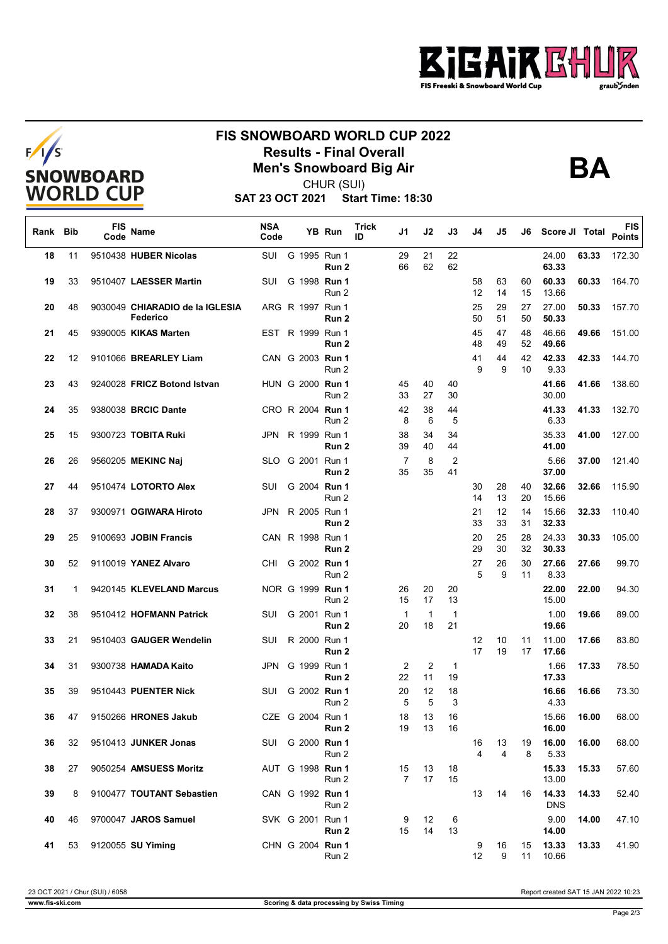



## **FIS SNOWBOARD WORLD CUP 2022 Results - Final Overall<br>Men's Snowboard Big Air**<br>CHUP (SUI)



CHUR (SUI)

**SAT 23 OCT 2021 Start Time: 18:30**

| Rank Bib |    | <b>FIS</b><br>Code | Name                                        | <b>NSA</b><br>Code |  | <b>YB Run</b>                        | Trick<br>ID | J1       | J2       | J3                   | J4       | J5       | J6       | Score JI Total      |       | <b>FIS</b><br><b>Points</b> |
|----------|----|--------------------|---------------------------------------------|--------------------|--|--------------------------------------|-------------|----------|----------|----------------------|----------|----------|----------|---------------------|-------|-----------------------------|
| 18       | 11 |                    | 9510438 HUBER Nicolas                       | SUI                |  | G 1995 Run 1<br>Run 2                |             | 29<br>66 | 21<br>62 | 22<br>62             |          |          |          | 24.00<br>63.33      | 63.33 | 172.30                      |
| 19       | 33 |                    | 9510407 LAESSER Martin                      | SUI                |  | G 1998 Run 1<br>Run 2                |             |          |          |                      | 58<br>12 | 63<br>14 | 60<br>15 | 60.33<br>13.66      | 60.33 | 164.70                      |
| 20       | 48 |                    | 9030049 CHIARADIO de la IGLESIA<br>Federico |                    |  | ARG R 1997 Run 1<br>Run 2            |             |          |          |                      | 25<br>50 | 29<br>51 | 27<br>50 | 27.00<br>50.33      | 50.33 | 157.70                      |
| 21       | 45 |                    | 9390005 KIKAS Marten                        |                    |  | EST R 1999 Run 1<br>Run <sub>2</sub> |             |          |          |                      | 45<br>48 | 47<br>49 | 48<br>52 | 46.66<br>49.66      | 49.66 | 151.00                      |
| 22       | 12 |                    | 9101066 BREARLEY Liam                       |                    |  | CAN G 2003 Run 1<br>Run 2            |             |          |          |                      | 41<br>9  | 44<br>9  | 42<br>10 | 42.33<br>9.33       | 42.33 | 144.70                      |
| 23       | 43 |                    | 9240028 FRICZ Botond Istvan                 |                    |  | HUN G 2000 Run 1<br>Run 2            |             | 45<br>33 | 40<br>27 | 40<br>30             |          |          |          | 41.66<br>30.00      | 41.66 | 138.60                      |
| 24       | 35 |                    | 9380038 BRCIC Dante                         |                    |  | CRO R 2004 Run 1<br>Run 2            |             | 42<br>8  | 38<br>6  | 44<br>5              |          |          |          | 41.33<br>6.33       | 41.33 | 132.70                      |
| 25       | 15 |                    | 9300723 TOBITA Ruki                         | JPN                |  | R 1999 Run 1<br>Run 2                |             | 38<br>39 | 34<br>40 | 34<br>44             |          |          |          | 35.33<br>41.00      | 41.00 | 127.00                      |
| 26       | 26 |                    | 9560205 MEKINC Naj                          |                    |  | SLO G 2001 Run 1<br>Run 2            |             | 7<br>35  | 8<br>35  | $\overline{2}$<br>41 |          |          |          | 5.66<br>37.00       | 37.00 | 121.40                      |
| 27       | 44 |                    | 9510474 LOTORTO Alex                        | SUI                |  | G 2004 Run 1<br>Run 2                |             |          |          |                      | 30<br>14 | 28<br>13 | 40<br>20 | 32.66<br>15.66      | 32.66 | 115.90                      |
| 28       | 37 |                    | 9300971 OGIWARA Hiroto                      | JPN                |  | R 2005 Run 1<br>Run 2                |             |          |          |                      | 21<br>33 | 12<br>33 | 14<br>31 | 15.66<br>32.33      | 32.33 | 110.40                      |
| 29       | 25 |                    | 9100693 JOBIN Francis                       |                    |  | CAN R 1998 Run 1<br>Run 2            |             |          |          |                      | 20<br>29 | 25<br>30 | 28<br>32 | 24.33<br>30.33      | 30.33 | 105.00                      |
| 30       | 52 |                    | 9110019 YANEZ Alvaro                        | CHI                |  | G 2002 Run 1<br>Run 2                |             |          |          |                      | 27<br>5  | 26<br>9  | 30<br>11 | 27.66<br>8.33       | 27.66 | 99.70                       |
| 31       | 1  |                    | 9420145 KLEVELAND Marcus                    |                    |  | NOR G 1999 Run 1<br>Run 2            |             | 26<br>15 | 20<br>17 | 20<br>13             |          |          |          | 22.00<br>15.00      | 22.00 | 94.30                       |
| 32       | 38 |                    | 9510412 HOFMANN Patrick                     | SUI                |  | G 2001 Run 1<br>Run 2                |             | 1<br>20  | 1<br>18  | 1<br>21              |          |          |          | 1.00<br>19.66       | 19.66 | 89.00                       |
| 33       | 21 |                    | 9510403 GAUGER Wendelin                     | SUI                |  | R 2000 Run 1<br>Run 2                |             |          |          |                      | 12<br>17 | 10<br>19 | 11<br>17 | 11.00<br>17.66      | 17.66 | 83.80                       |
| 34       | 31 |                    | 9300738 HAMADA Kaito                        | JPN                |  | G 1999 Run 1<br>Run 2                |             | 2<br>22  | 2<br>11  | 1<br>19              |          |          |          | 1.66<br>17.33       | 17.33 | 78.50                       |
| 35       | 39 |                    | 9510443 PUENTER Nick                        | SUI                |  | G 2002 Run 1<br>Run 2                |             | 20<br>5  | 12<br>5  | 18<br>3              |          |          |          | 16.66<br>4.33       | 16.66 | 73.30                       |
| 36       | 47 |                    | 9150266 HRONES Jakub                        |                    |  | CZE G 2004 Run 1<br>Run 2            |             | 18<br>19 | 13<br>13 | 16<br>16             |          |          |          | 15.66<br>16.00      | 16.00 | 68.00                       |
| 36       | 32 |                    | 9510413 JUNKER Jonas                        | SUI                |  | G 2000 <b>Run 1</b><br>Run 2         |             |          |          |                      | 16<br>4  | 13<br>4  | 19<br>8  | 16.00<br>5.33       | 16.00 | 68.00                       |
| 38       | 27 |                    | 9050254 AMSUESS Moritz                      |                    |  | AUT G 1998 Run 1<br>Run 2            |             | 15<br>7  | 13<br>17 | 18<br>15             |          |          |          | 15.33<br>13.00      | 15.33 | 57.60                       |
| 39       | 8  |                    | 9100477 TOUTANT Sebastien                   |                    |  | CAN G 1992 Run 1<br>Run 2            |             |          |          |                      | 13       | 14       | 16       | 14.33<br><b>DNS</b> | 14.33 | 52.40                       |
| 40       | 46 |                    | 9700047 JAROS Samuel                        |                    |  | SVK G 2001 Run 1<br>Run 2            |             | 9<br>15  | 12<br>14 | 6<br>13              |          |          |          | 9.00<br>14.00       | 14.00 | 47.10                       |
| 41       | 53 |                    | 9120055 SU Yiming                           |                    |  | CHN G 2004 Run 1<br>Run 2            |             |          |          |                      | 9<br>12  | 16<br>9  | 15<br>11 | 13.33<br>10.66      | 13.33 | 41.90                       |

23 OCT 2021 / Chur (SUI) / 6058 Report created SAT 15 JAN 2022 10:23